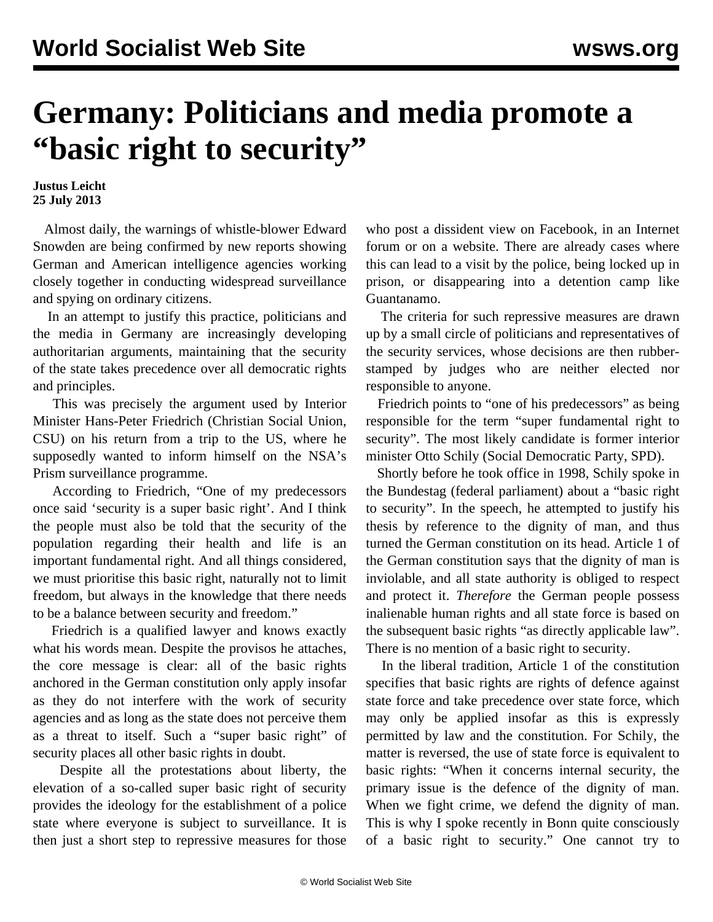## **Germany: Politicians and media promote a "basic right to security"**

**Justus Leicht 25 July 2013**

 Almost daily, the warnings of whistle-blower Edward Snowden are being confirmed by new reports showing German and American intelligence agencies working closely together in conducting widespread surveillance and spying on ordinary citizens.

 In an attempt to justify this practice, politicians and the media in Germany are increasingly developing authoritarian arguments, maintaining that the security of the state takes precedence over all democratic rights and principles.

 This was precisely the argument used by Interior Minister Hans-Peter Friedrich (Christian Social Union, CSU) on his return from a trip to the US, where he supposedly wanted to inform himself on the NSA's Prism surveillance programme.

 According to Friedrich, "One of my predecessors once said 'security is a super basic right'. And I think the people must also be told that the security of the population regarding their health and life is an important fundamental right. And all things considered, we must prioritise this basic right, naturally not to limit freedom, but always in the knowledge that there needs to be a balance between security and freedom."

 Friedrich is a qualified lawyer and knows exactly what his words mean. Despite the provisos he attaches, the core message is clear: all of the basic rights anchored in the German constitution only apply insofar as they do not interfere with the work of security agencies and as long as the state does not perceive them as a threat to itself. Such a "super basic right" of security places all other basic rights in doubt.

 Despite all the protestations about liberty, the elevation of a so-called super basic right of security provides the ideology for the establishment of a police state where everyone is subject to surveillance. It is then just a short step to repressive measures for those who post a dissident view on Facebook, in an Internet forum or on a website. There are already cases where this can lead to a visit by the police, being locked up in prison, or disappearing into a detention camp like Guantanamo.

 The criteria for such repressive measures are drawn up by a small circle of politicians and representatives of the security services, whose decisions are then rubberstamped by judges who are neither elected nor responsible to anyone.

Friedrich points to "one of his predecessors" as being responsible for the term "super fundamental right to security". The most likely candidate is former interior minister Otto Schily (Social Democratic Party, SPD).

 Shortly before he took office in 1998, Schily spoke in the Bundestag (federal parliament) about a "basic right to security". In the speech, he attempted to justify his thesis by reference to the dignity of man, and thus turned the German constitution on its head. Article 1 of the German constitution says that the dignity of man is inviolable, and all state authority is obliged to respect and protect it. *Therefore* the German people possess inalienable human rights and all state force is based on the subsequent basic rights "as directly applicable law". There is no mention of a basic right to security.

 In the liberal tradition, Article 1 of the constitution specifies that basic rights are rights of defence against state force and take precedence over state force, which may only be applied insofar as this is expressly permitted by law and the constitution. For Schily, the matter is reversed, the use of state force is equivalent to basic rights: "When it concerns internal security, the primary issue is the defence of the dignity of man. When we fight crime, we defend the dignity of man. This is why I spoke recently in Bonn quite consciously of a basic right to security." One cannot try to